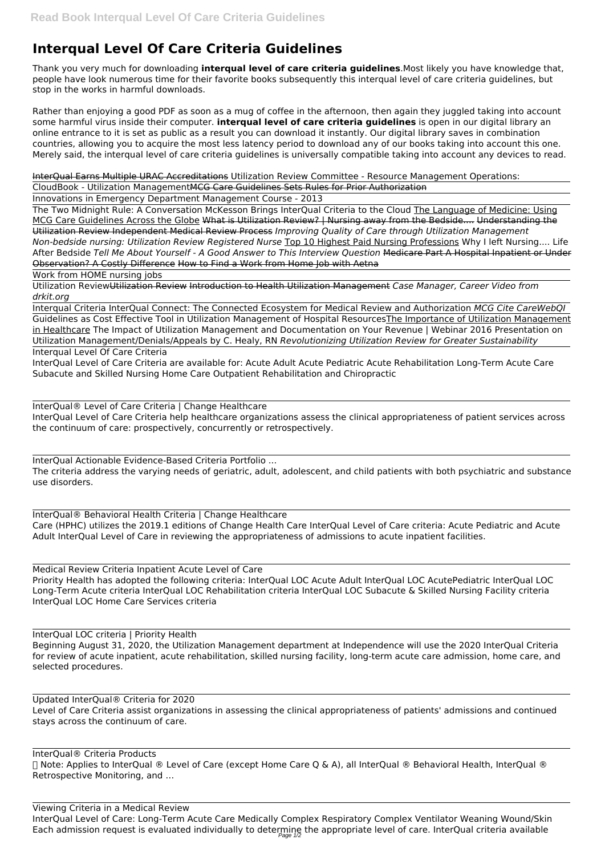## **Interqual Level Of Care Criteria Guidelines**

Thank you very much for downloading **interqual level of care criteria guidelines**.Most likely you have knowledge that, people have look numerous time for their favorite books subsequently this interqual level of care criteria guidelines, but stop in the works in harmful downloads.

Rather than enjoying a good PDF as soon as a mug of coffee in the afternoon, then again they juggled taking into account some harmful virus inside their computer. **interqual level of care criteria guidelines** is open in our digital library an online entrance to it is set as public as a result you can download it instantly. Our digital library saves in combination countries, allowing you to acquire the most less latency period to download any of our books taking into account this one. Merely said, the interqual level of care criteria guidelines is universally compatible taking into account any devices to read.

InterQual Earns Multiple URAC Accreditations Utilization Review Committee - Resource Management Operations:

CloudBook - Utilization ManagementMCG Care Guidelines Sets Rules for Prior Authorization

Innovations in Emergency Department Management Course - 2013

The Two Midnight Rule: A Conversation McKesson Brings InterQual Criteria to the Cloud The Language of Medicine: Using MCG Care Guidelines Across the Globe What is Utilization Review? | Nursing away from the Bedside.... Understanding the Utilization Review Independent Medical Review Process *Improving Quality of Care through Utilization Management Non-bedside nursing: Utilization Review Registered Nurse* Top 10 Highest Paid Nursing Professions Why I left Nursing.... Life After Bedside *Tell Me About Yourself - A Good Answer to This Interview Question* Medicare Part A Hospital Inpatient or Under Observation? A Costly Difference How to Find a Work from Home Job with Aetna

Work from HOME nursing jobs

Utilization ReviewUtilization Review Introduction to Health Utilization Management *Case Manager, Career Video from drkit.org*

Interqual Criteria InterQual Connect: The Connected Ecosystem for Medical Review and Authorization *MCG Cite CareWebQI*

Viewing Criteria in a Medical Review InterQual Level of Care: Long-Term Acute Care Medically Complex Respiratory Complex Ventilator Weaning Wound/Skin Each admission request is evaluated individually to determine the appropriate level of care. InterQual criteria available

Guidelines as Cost Effective Tool in Utilization Management of Hospital ResourcesThe Importance of Utilization Management in Healthcare The Impact of Utilization Management and Documentation on Your Revenue | Webinar 2016 Presentation on Utilization Management/Denials/Appeals by C. Healy, RN *Revolutionizing Utilization Review for Greater Sustainability* Interqual Level Of Care Criteria

InterQual Level of Care Criteria are available for: Acute Adult Acute Pediatric Acute Rehabilitation Long-Term Acute Care Subacute and Skilled Nursing Home Care Outpatient Rehabilitation and Chiropractic

InterQual® Level of Care Criteria | Change Healthcare InterQual Level of Care Criteria help healthcare organizations assess the clinical appropriateness of patient services across the continuum of care: prospectively, concurrently or retrospectively.

InterQual Actionable Evidence-Based Criteria Portfolio ... The criteria address the varying needs of geriatric, adult, adolescent, and child patients with both psychiatric and substance use disorders.

InterQual® Behavioral Health Criteria | Change Healthcare Care (HPHC) utilizes the 2019.1 editions of Change Health Care InterQual Level of Care criteria: Acute Pediatric and Acute Adult InterQual Level of Care in reviewing the appropriateness of admissions to acute inpatient facilities.

Medical Review Criteria Inpatient Acute Level of Care Priority Health has adopted the following criteria: InterQual LOC Acute Adult InterQual LOC AcutePediatric InterQual LOC Long-Term Acute criteria InterQual LOC Rehabilitation criteria InterQual LOC Subacute & Skilled Nursing Facility criteria InterQual LOC Home Care Services criteria

InterQual LOC criteria | Priority Health Beginning August 31, 2020, the Utilization Management department at Independence will use the 2020 InterQual Criteria for review of acute inpatient, acute rehabilitation, skilled nursing facility, long-term acute care admission, home care, and selected procedures.

Updated InterQual® Criteria for 2020 Level of Care Criteria assist organizations in assessing the clinical appropriateness of patients' admissions and continued stays across the continuum of care.

InterQual® Criteria Products ⓘ Note: Applies to InterQual ® Level of Care (except Home Care Q & A), all InterQual ® Behavioral Health, InterQual ® Retrospective Monitoring, and …